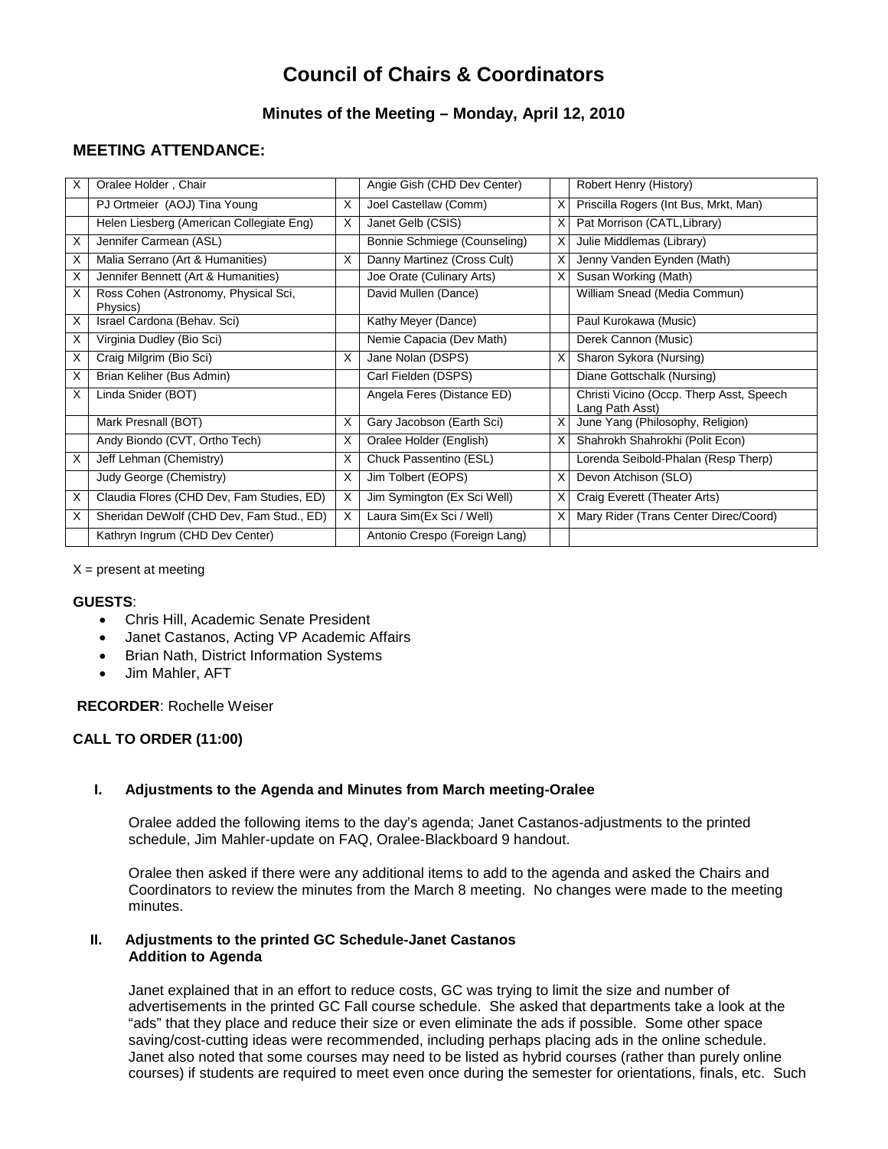# **Council of Chairs & Coordinators**

# **Minutes of the Meeting – Monday, April 12, 2010**

# **MEETING ATTENDANCE:**

| X  | Oralee Holder, Chair                             |   | Angie Gish (CHD Dev Center)   |   | Robert Henry (History)                                      |
|----|--------------------------------------------------|---|-------------------------------|---|-------------------------------------------------------------|
|    | PJ Ortmeier (AOJ) Tina Young                     | X | Joel Castellaw (Comm)         | х | Priscilla Rogers (Int Bus, Mrkt, Man)                       |
|    | Helen Liesberg (American Collegiate Eng)         | X | Janet Gelb (CSIS)             |   | Pat Morrison (CATL, Library)                                |
| X  | Jennifer Carmean (ASL)                           |   | Bonnie Schmiege (Counseling)  | x | Julie Middlemas (Library)                                   |
| X. | Malia Serrano (Art & Humanities)                 | X | Danny Martinez (Cross Cult)   | х | Jenny Vanden Eynden (Math)                                  |
| X  | Jennifer Bennett (Art & Humanities)              |   | Joe Orate (Culinary Arts)     | x | Susan Working (Math)                                        |
| X  | Ross Cohen (Astronomy, Physical Sci,<br>Physics) |   | David Mullen (Dance)          |   | William Snead (Media Commun)                                |
| X  | Israel Cardona (Behav. Sci)                      |   | Kathy Meyer (Dance)           |   | Paul Kurokawa (Music)                                       |
| X  | Virginia Dudley (Bio Sci)                        |   | Nemie Capacia (Dev Math)      |   | Derek Cannon (Music)                                        |
| X  | Craig Milgrim (Bio Sci)                          | X | Jane Nolan (DSPS)             | x | Sharon Sykora (Nursing)                                     |
| X  | Brian Keliher (Bus Admin)                        |   | Carl Fielden (DSPS)           |   | Diane Gottschalk (Nursing)                                  |
| X  | Linda Snider (BOT)                               |   | Angela Feres (Distance ED)    |   | Christi Vicino (Occp. Therp Asst, Speech<br>Lang Path Asst) |
|    | Mark Presnall (BOT)                              | X | Gary Jacobson (Earth Sci)     | x | June Yang (Philosophy, Religion)                            |
|    | Andy Biondo (CVT, Ortho Tech)                    | X | Oralee Holder (English)       |   | Shahrokh Shahrokhi (Polit Econ)                             |
| X  | Jeff Lehman (Chemistry)                          | X | Chuck Passentino (ESL)        |   | Lorenda Seibold-Phalan (Resp Therp)                         |
|    | Judy George (Chemistry)                          | X | Jim Tolbert (EOPS)            | x | Devon Atchison (SLO)                                        |
| X  | Claudia Flores (CHD Dev, Fam Studies, ED)        | X | Jim Symington (Ex Sci Well)   | х | Craig Everett (Theater Arts)                                |
| X  | Sheridan DeWolf (CHD Dev, Fam Stud., ED)         | X | Laura Sim (Ex Sci / Well)     |   | Mary Rider (Trans Center Direc/Coord)                       |
|    | Kathryn Ingrum (CHD Dev Center)                  |   | Antonio Crespo (Foreign Lang) |   |                                                             |

 $X =$  present at meeting

#### **GUESTS**:

- Chris Hill, Academic Senate President
- Janet Castanos, Acting VP Academic Affairs
- Brian Nath, District Information Systems
- Jim Mahler, AFT

**RECORDER**: Rochelle Weiser

## **CALL TO ORDER (11:00)**

## **I. Adjustments to the Agenda and Minutes from March meeting-Oralee**

Oralee added the following items to the day's agenda; Janet Castanos-adjustments to the printed schedule, Jim Mahler-update on FAQ, Oralee-Blackboard 9 handout.

Oralee then asked if there were any additional items to add to the agenda and asked the Chairs and Coordinators to review the minutes from the March 8 meeting. No changes were made to the meeting minutes.

#### **II. Adjustments to the printed GC Schedule-Janet Castanos Addition to Agenda**

Janet explained that in an effort to reduce costs, GC was trying to limit the size and number of advertisements in the printed GC Fall course schedule. She asked that departments take a look at the "ads" that they place and reduce their size or even eliminate the ads if possible. Some other space saving/cost-cutting ideas were recommended, including perhaps placing ads in the online schedule. Janet also noted that some courses may need to be listed as hybrid courses (rather than purely online courses) if students are required to meet even once during the semester for orientations, finals, etc. Such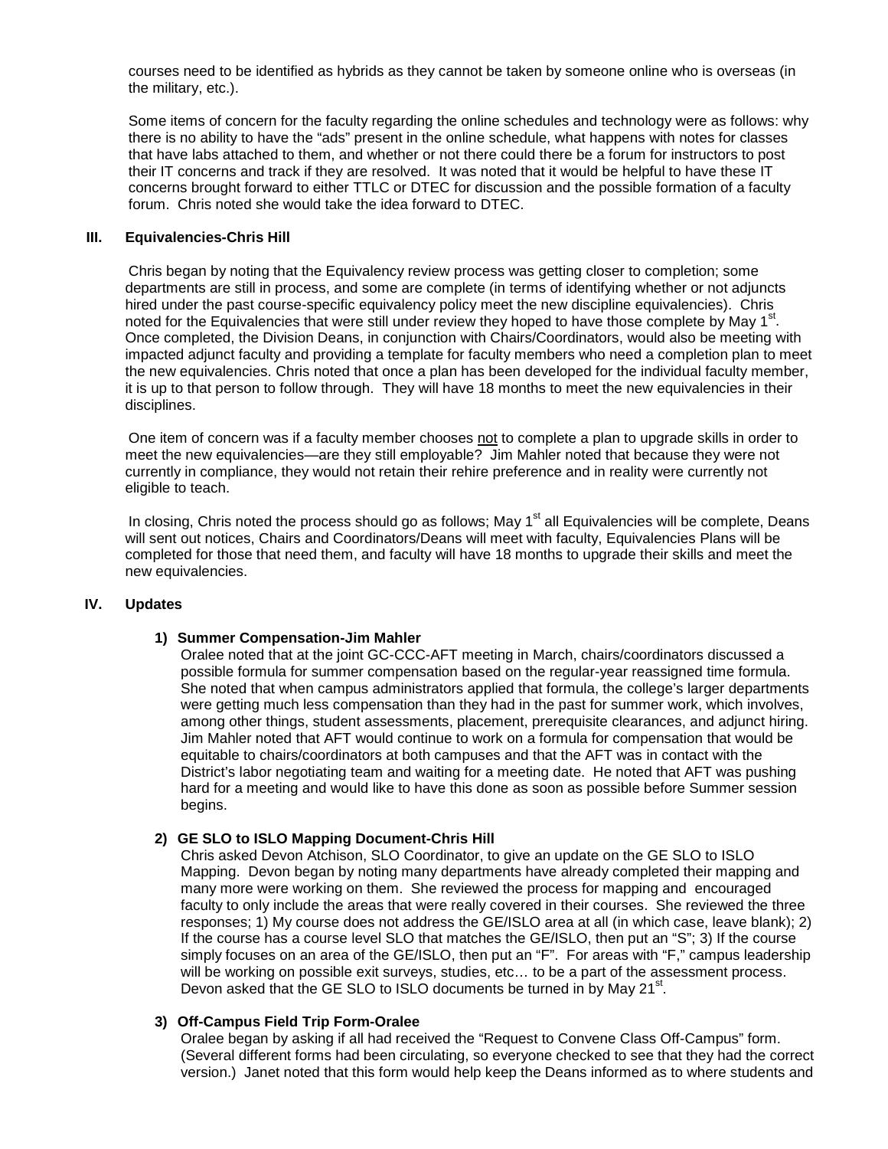courses need to be identified as hybrids as they cannot be taken by someone online who is overseas (in the military, etc.).

Some items of concern for the faculty regarding the online schedules and technology were as follows: why there is no ability to have the "ads" present in the online schedule, what happens with notes for classes that have labs attached to them, and whether or not there could there be a forum for instructors to post their IT concerns and track if they are resolved. It was noted that it would be helpful to have these IT concerns brought forward to either TTLC or DTEC for discussion and the possible formation of a faculty forum. Chris noted she would take the idea forward to DTEC.

#### **III. Equivalencies-Chris Hill**

Chris began by noting that the Equivalency review process was getting closer to completion; some departments are still in process, and some are complete (in terms of identifying whether or not adjuncts hired under the past course-specific equivalency policy meet the new discipline equivalencies). Chris noted for the Equivalencies that were still under review they hoped to have those complete by May 1<sup>st</sup>. Once completed, the Division Deans, in conjunction with Chairs/Coordinators, would also be meeting with impacted adjunct faculty and providing a template for faculty members who need a completion plan to meet the new equivalencies. Chris noted that once a plan has been developed for the individual faculty member, it is up to that person to follow through. They will have 18 months to meet the new equivalencies in their disciplines.

One item of concern was if a faculty member chooses not to complete a plan to upgrade skills in order to meet the new equivalencies—are they still employable? Jim Mahler noted that because they were not currently in compliance, they would not retain their rehire preference and in reality were currently not eligible to teach.

In closing, Chris noted the process should go as follows; May 1<sup>st</sup> all Equivalencies will be complete, Deans will sent out notices, Chairs and Coordinators/Deans will meet with faculty, Equivalencies Plans will be completed for those that need them, and faculty will have 18 months to upgrade their skills and meet the new equivalencies.

#### **IV. Updates**

#### **1) Summer Compensation-Jim Mahler**

Oralee noted that at the joint GC-CCC-AFT meeting in March, chairs/coordinators discussed a possible formula for summer compensation based on the regular-year reassigned time formula. She noted that when campus administrators applied that formula, the college's larger departments were getting much less compensation than they had in the past for summer work, which involves, among other things, student assessments, placement, prerequisite clearances, and adjunct hiring. Jim Mahler noted that AFT would continue to work on a formula for compensation that would be equitable to chairs/coordinators at both campuses and that the AFT was in contact with the District's labor negotiating team and waiting for a meeting date. He noted that AFT was pushing hard for a meeting and would like to have this done as soon as possible before Summer session begins.

#### **2) GE SLO to ISLO Mapping Document-Chris Hill**

Chris asked Devon Atchison, SLO Coordinator, to give an update on the GE SLO to ISLO Mapping. Devon began by noting many departments have already completed their mapping and many more were working on them. She reviewed the process for mapping and encouraged faculty to only include the areas that were really covered in their courses. She reviewed the three responses; 1) My course does not address the GE/ISLO area at all (in which case, leave blank); 2) If the course has a course level SLO that matches the GE/ISLO, then put an "S"; 3) If the course simply focuses on an area of the GE/ISLO, then put an "F". For areas with "F," campus leadership will be working on possible exit surveys, studies, etc… to be a part of the assessment process. Devon asked that the GE SLO to ISLO documents be turned in by May 21<sup>st</sup>.

#### **3) Off-Campus Field Trip Form-Oralee**

Oralee began by asking if all had received the "Request to Convene Class Off-Campus" form. (Several different forms had been circulating, so everyone checked to see that they had the correct version.) Janet noted that this form would help keep the Deans informed as to where students and